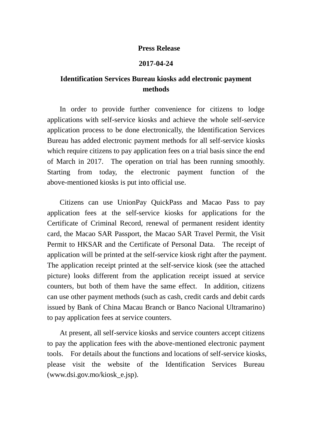## **Press Release**

## **2017-04-24**

## **Identification Services Bureau kiosks add electronic payment methods**

In order to provide further convenience for citizens to lodge applications with self-service kiosks and achieve the whole self-service application process to be done electronically, the Identification Services Bureau has added electronic payment methods for all self-service kiosks which require citizens to pay application fees on a trial basis since the end of March in 2017. The operation on trial has been running smoothly. Starting from today, the electronic payment function of the above-mentioned kiosks is put into official use.

Citizens can use UnionPay QuickPass and Macao Pass to pay application fees at the self-service kiosks for applications for the Certificate of Criminal Record, renewal of permanent resident identity card, the Macao SAR Passport, the Macao SAR Travel Permit, the Visit Permit to HKSAR and the Certificate of Personal Data. The receipt of application will be printed at the self-service kiosk right after the payment. The application receipt printed at the self-service kiosk (see the attached picture) looks different from the application receipt issued at service counters, but both of them have the same effect. In addition, citizens can use other payment methods (such as cash, credit cards and debit cards issued by Bank of China Macau Branch or Banco Nacional Ultramarino) to pay application fees at service counters.

At present, all self-service kiosks and service counters accept citizens to pay the application fees with the above-mentioned electronic payment tools. For details about the functions and locations of self-service kiosks, please visit the website of the Identification Services Bureau (www.dsi.gov.mo/kiosk\_e.jsp).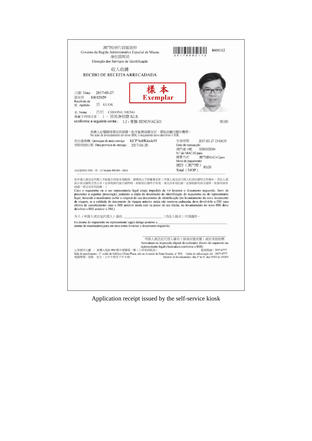| 澳門特別行政區政府<br>Governo da Região Administrativa Especial de Macau<br>身份證明局<br>Direcção dos Serviços de Identificação                                                                                                                                                                                                                                                                                                                                                                                                                                                                                                                  |                        |                                                                                                                                                                                                                                           | 8600112                             |
|-------------------------------------------------------------------------------------------------------------------------------------------------------------------------------------------------------------------------------------------------------------------------------------------------------------------------------------------------------------------------------------------------------------------------------------------------------------------------------------------------------------------------------------------------------------------------------------------------------------------------------------|------------------------|-------------------------------------------------------------------------------------------------------------------------------------------------------------------------------------------------------------------------------------------|-------------------------------------|
| 收入收據<br>RECIBO DE RECEITA ARRECADADA                                                                                                                                                                                                                                                                                                                                                                                                                                                                                                                                                                                                |                        |                                                                                                                                                                                                                                           |                                     |
| 日期 Data<br>2017-03-27<br>蒸收到<br>10012029<br>Recebido de<br>郭 KUOK<br>姓 Apelido:                                                                                                                                                                                                                                                                                                                                                                                                                                                                                                                                                     | 様 本<br>Exemplar        |                                                                                                                                                                                                                                           |                                     |
| 名 Nome: 昌明 CHEONG MENG<br>係屬下列項目者: 1 - 居民身份證 B.I.R.<br>conforme a seguinte conta: 1.2 - 更換 RENOVACÃO                                                                                                                                                                                                                                                                                                                                                                                                                                                                                                                                |                        |                                                                                                                                                                                                                                           | 90.00                               |
| 申請人在領證時須交回原證。如不能將原證交回,須依法繳付額外費用。<br>No acto de levantamento do novo BIR; o requerente deve devolver o BIR.                                                                                                                                                                                                                                                                                                                                                                                                                                                                                                                          |                        |                                                                                                                                                                                                                                           |                                     |
| 自助服務機 Quiosque de auto-serviço<br>预期取證日期 Data prevista de entrega: 2017-04-20                                                                                                                                                                                                                                                                                                                                                                                                                                                                                                                                                       | <b>KCP SelfKiosk05</b> | 交易時間<br>Data de transacção<br>澳門通卡號<br>0200102094<br>N.º do MACAUpass<br>缴费方式<br>Meio de pagamento<br>總計(澳門幣)<br>90.00                                                                                                                    | 2017-03-27 15:04:35<br>澳門通MACAUpass |
| 身份證明局 DSI - 第一式 Modelo RRA01-RRA                                                                                                                                                                                                                                                                                                                                                                                                                                                                                                                                                                                                    |                        | Total (MOP)                                                                                                                                                                                                                               |                                     |
| 如申請人或法定代理人不能親自前來本局取證,請填寫以下授權書並對上申請人或法定代理人的身份證明文件副本,受托人須<br>出示身份證明文件正本(在領取新的旅行證件時,如原旅行證件仍有效,須交回本局註銷:在領取新的身份證時,如持有原身<br>份證。須交回本局註鋳。)                                                                                                                                                                                                                                                                                                                                                                                                                                                                                                  |                        |                                                                                                                                                                                                                                           |                                     |
| Caso o requerente ou o seu representante legal esteja impedido de vir levantar o documento requerido, favor de<br>preencher a seguinte procuração, juntando a cópia do documento de identificação do requerente ou do representante<br>legal, devendo o mandatário exibir o original do seu documento de identificação (no levantamento do novo documento<br>de viagem, se a validade do documento de viagem anterior ainda não mostrou caducada, deve develvê-lo a DSI para<br>efeitos de cancelamento/ caso o BIR anterior ainda está na posse do seu titular, no levantamento do novo BIR deve<br>devolver o BIR anterior à DSL) |                        |                                                                                                                                                                                                                                           |                                     |
| 本人(申請人或法定代理人)委托 ________                                                                                                                                                                                                                                                                                                                                                                                                                                                                                                                                                                                                            |                        | (受托人姓名)代铜證件。                                                                                                                                                                                                                              |                                     |
| Eu (nome do requerente ou representante legal) delego poderes a<br>(nome do mandatário) para em meu nome levantar o documento requerido.                                                                                                                                                                                                                                                                                                                                                                                                                                                                                            |                        |                                                                                                                                                                                                                                           |                                     |
| 公眾接待大顧 - 南灣大馬路 804 號中華廣場一樓 (八角亭斜對面)<br>Sala de atendimento - 1º andar do Edificio China Plaza, sito na Avenida da Praia Grande, nº 804. Linha de informação tel. : 2837-0777<br>領游時間:星期一至五,上午9時至下午6時。                                                                                                                                                                                                                                                                                                                                                                                                                               |                        | 申請人或法定代理人簽名(按身份證式樣)或右食指指模<br>Assinatura ou impressão digital do indicador direito do requrente ou<br>representante legal (Assinatura conforme o BIR)<br>Horário de levantamento: das 2 <sup>2</sup> às 6 <sup>2</sup> , das 9H00 às 18H00 | 服務熟練: 2837-0777                     |
|                                                                                                                                                                                                                                                                                                                                                                                                                                                                                                                                                                                                                                     |                        |                                                                                                                                                                                                                                           |                                     |

Application receipt issued by the self-service kiosk